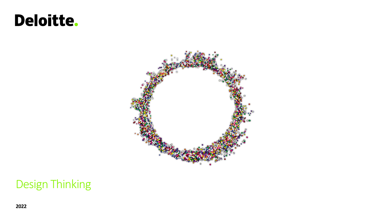# **Deloitte.**



### Design Thinking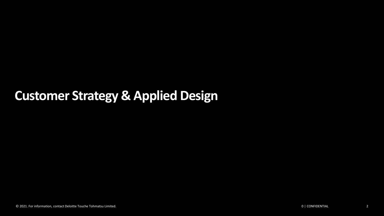### **Customer Strategy & Applied Design**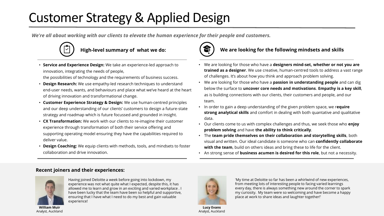## Customer Strategy & Applied Design

*We're all about working with our clients to elevate the human experience for their people and customers.*



• **Service and Experience Design:** We take an experience-led approach to innovation, integrating the needs of people,

the possibilities of technology and the requirements of business success.

- **Design Research:** We use empathy-led research techniques to understand end-user needs, wants, and behaviours and place what we've heard at the heart of driving innovation and transformational change.
- **Customer Experience Strategy & Design:** We use human-centred principles and our deep understanding of our clients' customers to design a future-state strategy and roadmap which is future focussed and grounded in insight.
- **CX Transformation:** We work with our clients to re-imagine their customer experience through transformation of both their service offering and supporting operating model ensuring they have the capabilities required to deliver value.
- **Design Coaching:** We equip clients with methods, tools, and mindsets to foster collaboration and drive innovation.



### High-level summary of what we do: **We are looking for the following mindsets and skills**

- We are looking for those who have a **designers mind-set, whether or not you are trained as a designer**. We use creative, human-centred tools to address a vast range of challenges. It's about how you think and approach problem solving.
- We are looking for those who have a **passion in understanding people** and can dig below the surface to **uncover core needs and motivations**. **Empathy is a key skill**, as is building connections with our clients, their customers and people, and our team.
- In order to gain a deep understanding of the given problem space, we r**equire strong analytical skills** and comfort in dealing with both quantative and qualitative data.
- Our clients come to us with complex challenges and thus, we seek those who **enjoy problem solving** and have **the ability to think critically**.
- The **team pride themselves on their collaboration and storytelling skills**, both visual and written. Our ideal candidate is someone who can **confidently collaborate with the team**, build on others ideas and bring these to life for the client.
- An strong sense of **business acumen is desired for this role**, but not a necessity.

### **Recent joiners and their experiences:**



Having joined Deloitte a week before going into lockdown, my experience was not what quite what I expected, despite this, it has allowed me to learn and grow in an exciting and varied workplace . I have been lucky that the team have been so helpful and supportive, ensuring that I have what I need to do my best and gain valuable experience!

© 2021. For information, contact Deloitte Touche Tohmatsu Limited. Grad Induction 2021 How Consulting Works 3 **William Muir** Analyst, Auckland



**Lucy Evans** Analyst, Auckland

'My time at Deloitte so far has been a whirlwind of new experiences, from meeting lots of interesting people to facing varied learnings every day, there is always something new around the corner to spark my curiosity. My team were so welcoming and have become a happy place at work to share ideas and laughter together!'